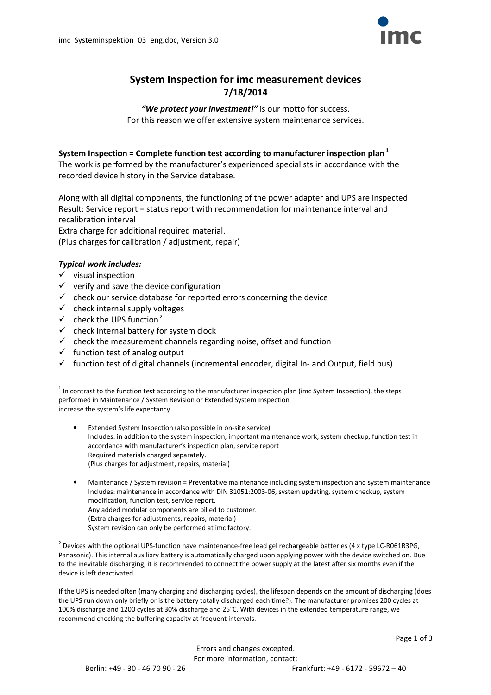

# System Inspection for imc measurement devices 7/18/2014

"We protect your investment!" is our motto for success. For this reason we offer extensive system maintenance services.

#### System Inspection = Complete function test according to manufacturer inspection plan<sup>1</sup>

The work is performed by the manufacturer's experienced specialists in accordance with the recorded device history in the Service database.

Along with all digital components, the functioning of the power adapter and UPS are inspected Result: Service report = status report with recommendation for maintenance interval and recalibration interval Extra charge for additional required material. (Plus charges for calibration / adjustment, repair)

#### Typical work includes:

 $\checkmark$  visual inspection

l

- $\checkmark$  verify and save the device configuration
- $\checkmark$  check our service database for reported errors concerning the device
- $\checkmark$  check internal supply voltages
- $\checkmark$  check the UPS function<sup>2</sup>
- $\checkmark$  check internal battery for system clock
- $\checkmark$  check the measurement channels regarding noise, offset and function
- $\checkmark$  function test of analog output
- $\checkmark$  function test of digital channels (incremental encoder, digital In- and Output, field bus)

- Extended System Inspection (also possible in on-site service) Includes: in addition to the system inspection, important maintenance work, system checkup, function test in accordance with manufacturer's inspection plan, service report Required materials charged separately. (Plus charges for adjustment, repairs, material)
- Maintenance / System revision = Preventative maintenance including system inspection and system maintenance Includes: maintenance in accordance with DIN 31051:2003-06, system updating, system checkup, system modification, function test, service report. Any added modular components are billed to customer. (Extra charges for adjustments, repairs, material) System revision can only be performed at imc factory.

<sup>2</sup> Devices with the optional UPS-function have maintenance-free lead gel rechargeable batteries (4 x type LC-R061R3PG, Panasonic). This internal auxiliary battery is automatically charged upon applying power with the device switched on. Due to the inevitable discharging, it is recommended to connect the power supply at the latest after six months even if the device is left deactivated.

If the UPS is needed often (many charging and discharging cycles), the lifespan depends on the amount of discharging (does the UPS run down only briefly or is the battery totally discharged each time?). The manufacturer promises 200 cycles at 100% discharge and 1200 cycles at 30% discharge and 25°C. With devices in the extended temperature range, we recommend checking the buffering capacity at frequent intervals.

> Errors and changes excepted. For more information, contact:

 $^1$  In contrast to the function test according to the manufacturer inspection plan (imc System Inspection), the steps performed in Maintenance / System Revision or Extended System Inspection increase the system's life expectancy.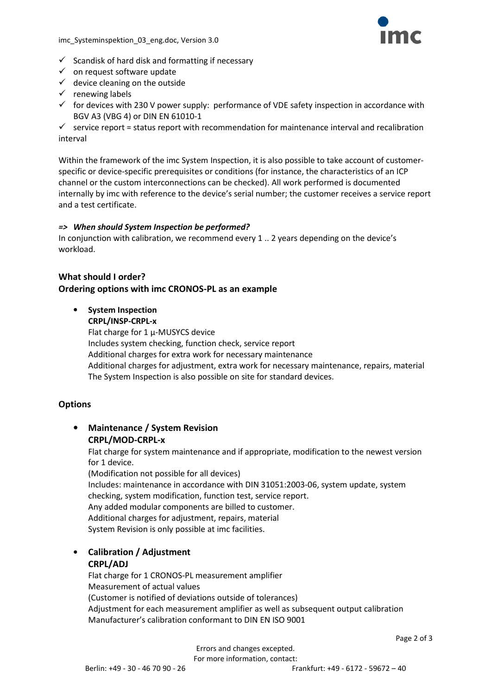

- $\checkmark$  Scandisk of hard disk and formatting if necessary
- $\checkmark$  on request software update
- $\checkmark$  device cleaning on the outside
- $\checkmark$  renewing labels
- $\checkmark$  for devices with 230 V power supply: performance of VDE safety inspection in accordance with BGV A3 (VBG 4) or DIN EN 61010-1

 $\checkmark$  service report = status report with recommendation for maintenance interval and recalibration interval

Within the framework of the imc System Inspection, it is also possible to take account of customerspecific or device-specific prerequisites or conditions (for instance, the characteristics of an ICP channel or the custom interconnections can be checked). All work performed is documented internally by imc with reference to the device's serial number; the customer receives a service report and a test certificate.

#### => When should System Inspection be performed?

In conjunction with calibration, we recommend every 1 .. 2 years depending on the device's workload.

# What should I order? Ordering options with imc CRONOS-PL as an example

• System Inspection CRPL/INSP-CRPL-x Flat charge for  $1 \mu$ -MUSYCS device

Includes system checking, function check, service report Additional charges for extra work for necessary maintenance Additional charges for adjustment, extra work for necessary maintenance, repairs, material The System Inspection is also possible on site for standard devices.

### **Options**

• Maintenance / System Revision CRPL/MOD-CRPL-x

> Flat charge for system maintenance and if appropriate, modification to the newest version for 1 device.

(Modification not possible for all devices) Includes: maintenance in accordance with DIN 31051:2003-06, system update, system checking, system modification, function test, service report. Any added modular components are billed to customer. Additional charges for adjustment, repairs, material System Revision is only possible at imc facilities.

# • Calibration / Adjustment

#### CRPL/ADJ

Flat charge for 1 CRONOS-PL measurement amplifier Measurement of actual values (Customer is notified of deviations outside of tolerances) Adjustment for each measurement amplifier as well as subsequent output calibration Manufacturer's calibration conformant to DIN EN ISO 9001